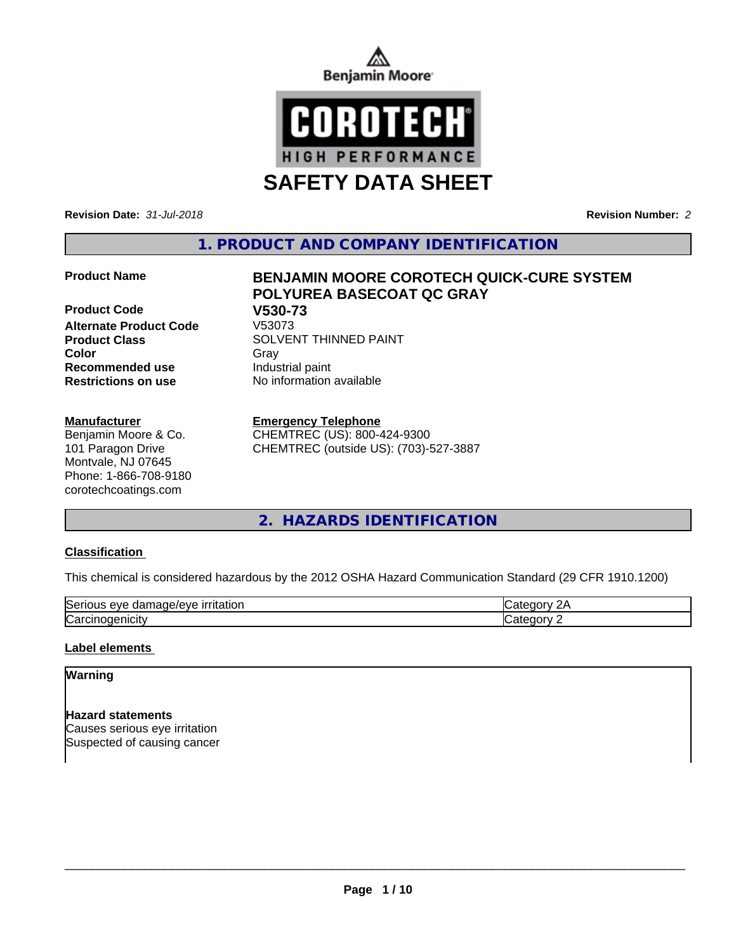



**SAFETY DATA SHEET**

**Revision Date:** *31-Jul-2018* **Revision Number:** *2*

**1. PRODUCT AND COMPANY IDENTIFICATION**

**Product Code 61 V530-73**<br>Alternate Product Code V53073 **Alternate Product Code Product Class SOLVENT THINNED PAINT Color** Gray Gray **Recommended use** Industrial paint **Restrictions on use** No information available

**Manufacturer**

Benjamin Moore & Co. 101 Paragon Drive Montvale, NJ 07645 Phone: 1-866-708-9180 corotechcoatings.com

# **Product Name BENJAMIN MOORE COROTECH QUICK-CURE SYSTEM POLYUREA BASECOAT QC GRAY**

#### **Emergency Telephone**

CHEMTREC (US): 800-424-9300 CHEMTREC (outside US): (703)-527-3887

**2. HAZARDS IDENTIFICATION**

#### **Classification**

This chemical is considered hazardous by the 2012 OSHA Hazard Communication Standard (29 CFR 1910.1200)

| $\sim$<br>.<br>۱۵۱٬۴<br>----<br>277<br>,Sei<br>$\overline{1}$ |  |
|---------------------------------------------------------------|--|
| ∼<br>Na                                                       |  |

#### **Label elements**

# **Warning**

**Hazard statements** Causes serious eye irritation Suspected of causing cancer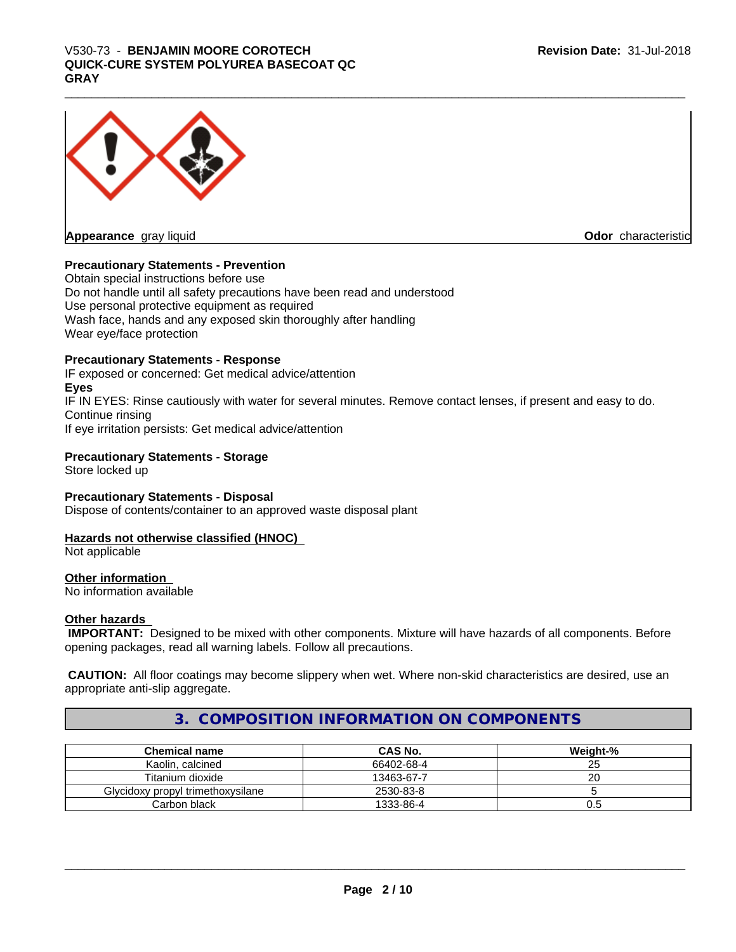# \_\_\_\_\_\_\_\_\_\_\_\_\_\_\_\_\_\_\_\_\_\_\_\_\_\_\_\_\_\_\_\_\_\_\_\_\_\_\_\_\_\_\_\_\_\_\_\_\_\_\_\_\_\_\_\_\_\_\_\_\_\_\_\_\_\_\_\_\_\_\_\_\_\_\_\_\_\_\_\_\_\_\_\_\_\_\_\_\_\_\_\_\_ V530-73 - **BENJAMIN MOORE COROTECH QUICK-CURE SYSTEM POLYUREA BASECOAT QC GRAY**



**Odor** characteristic

#### **Precautionary Statements - Prevention**

Obtain special instructions before use Do not handle until all safety precautions have been read and understood Use personal protective equipment as required Wash face, hands and any exposed skin thoroughly after handling Wear eye/face protection

#### **Precautionary Statements - Response**

IF exposed or concerned: Get medical advice/attention **Eyes** IF IN EYES: Rinse cautiously with water for several minutes. Remove contact lenses, if present and easy to do. Continue rinsing If eye irritation persists: Get medical advice/attention

#### **Precautionary Statements - Storage**

Store locked up

### **Precautionary Statements - Disposal**

Dispose of contents/container to an approved waste disposal plant

# **Hazards not otherwise classified (HNOC)**

Not applicable

#### **Other information**

No information available

#### **Other hazards**

 **IMPORTANT:** Designed to be mixed with other components. Mixture will have hazards of all components. Before opening packages, read all warning labels. Follow all precautions.

 **CAUTION:** All floor coatings may become slippery when wet. Where non-skid characteristics are desired, use an appropriate anti-slip aggregate.

# **3. COMPOSITION INFORMATION ON COMPONENTS**

| <b>Chemical name</b>              | <b>CAS No.</b> | Weight-% |
|-----------------------------------|----------------|----------|
| Kaolin, calcined                  | 66402-68-4     | رے       |
| Titanium dioxide                  | 13463-67-7     | ۷J       |
| Glycidoxy propyl trimethoxysilane | 2530-83-8      |          |
| Carbon black                      | 1333-86-4      | U.5      |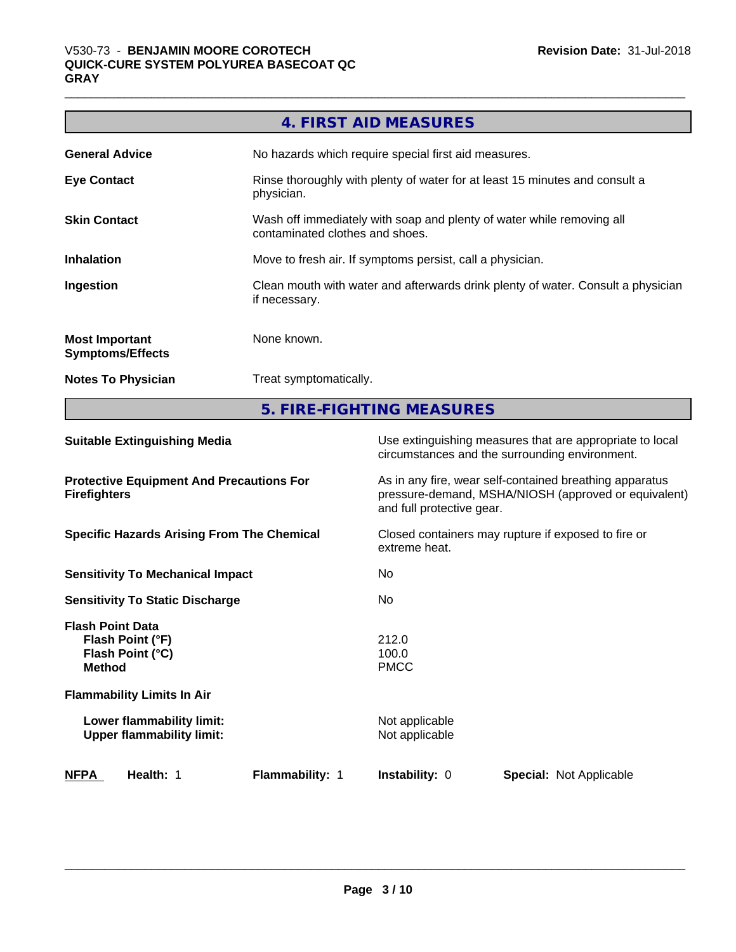г

|                                                  | 4. FIRST AID MEASURES                                                                                    |
|--------------------------------------------------|----------------------------------------------------------------------------------------------------------|
| <b>General Advice</b>                            | No hazards which require special first aid measures.                                                     |
| <b>Eye Contact</b>                               | Rinse thoroughly with plenty of water for at least 15 minutes and consult a<br>physician.                |
| <b>Skin Contact</b>                              | Wash off immediately with soap and plenty of water while removing all<br>contaminated clothes and shoes. |
| <b>Inhalation</b>                                | Move to fresh air. If symptoms persist, call a physician.                                                |
| Ingestion                                        | Clean mouth with water and afterwards drink plenty of water. Consult a physician<br>if necessary.        |
| <b>Most Important</b><br><b>Symptoms/Effects</b> | None known.                                                                                              |
| <b>Notes To Physician</b>                        | Treat symptomatically.                                                                                   |

**5. FIRE-FIGHTING MEASURES**

| <b>Suitable Extinguishing Media</b>                                              | Use extinguishing measures that are appropriate to local<br>circumstances and the surrounding environment.                                   |
|----------------------------------------------------------------------------------|----------------------------------------------------------------------------------------------------------------------------------------------|
| <b>Protective Equipment And Precautions For</b><br><b>Firefighters</b>           | As in any fire, wear self-contained breathing apparatus<br>pressure-demand, MSHA/NIOSH (approved or equivalent)<br>and full protective gear. |
| <b>Specific Hazards Arising From The Chemical</b>                                | Closed containers may rupture if exposed to fire or<br>extreme heat.                                                                         |
| <b>Sensitivity To Mechanical Impact</b>                                          | No.                                                                                                                                          |
| <b>Sensitivity To Static Discharge</b>                                           | No.                                                                                                                                          |
| <b>Flash Point Data</b><br>Flash Point (°F)<br>Flash Point (°C)<br><b>Method</b> | 212.0<br>100.0<br><b>PMCC</b>                                                                                                                |
| <b>Flammability Limits In Air</b>                                                |                                                                                                                                              |
| Lower flammability limit:<br><b>Upper flammability limit:</b>                    | Not applicable<br>Not applicable                                                                                                             |
| <b>NFPA</b><br>Flammability: 1<br>Health: 1                                      | <b>Instability: 0</b><br><b>Special: Not Applicable</b>                                                                                      |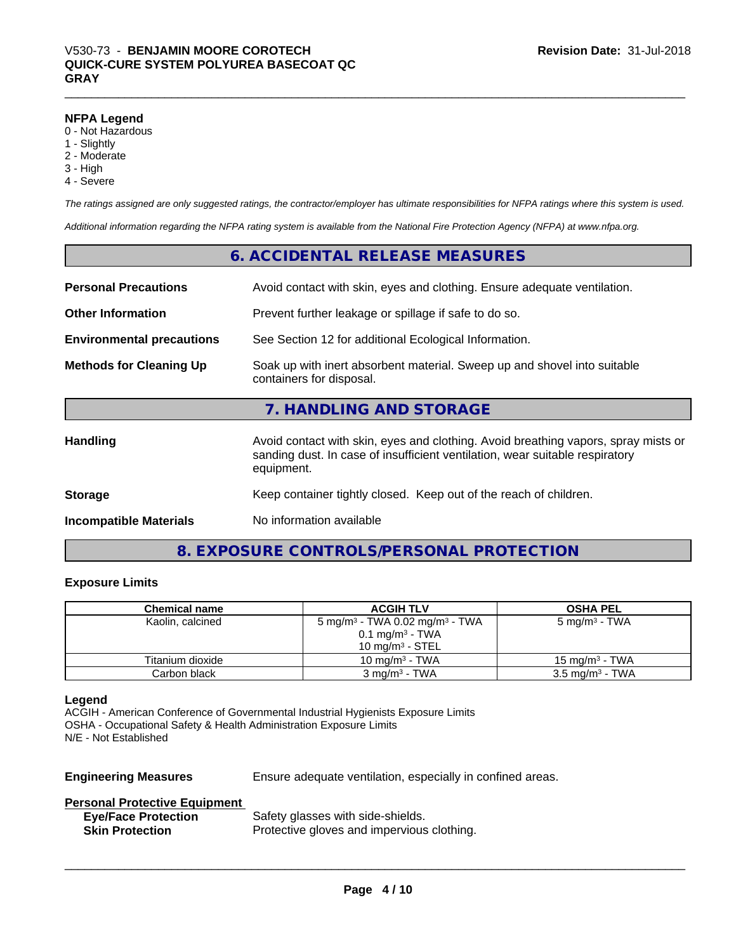#### **NFPA Legend**

- 0 Not Hazardous
- 1 Slightly
- 2 Moderate
- 3 High
- 4 Severe

*The ratings assigned are only suggested ratings, the contractor/employer has ultimate responsibilities for NFPA ratings where this system is used.*

*Additional information regarding the NFPA rating system is available from the National Fire Protection Agency (NFPA) at www.nfpa.org.*

|                                  | 6. ACCIDENTAL RELEASE MEASURES                                                                                                                                                   |
|----------------------------------|----------------------------------------------------------------------------------------------------------------------------------------------------------------------------------|
| <b>Personal Precautions</b>      | Avoid contact with skin, eyes and clothing. Ensure adequate ventilation.                                                                                                         |
| <b>Other Information</b>         | Prevent further leakage or spillage if safe to do so.                                                                                                                            |
| <b>Environmental precautions</b> | See Section 12 for additional Ecological Information.                                                                                                                            |
| <b>Methods for Cleaning Up</b>   | Soak up with inert absorbent material. Sweep up and shovel into suitable<br>containers for disposal.                                                                             |
|                                  | 7. HANDLING AND STORAGE                                                                                                                                                          |
| <b>Handling</b>                  | Avoid contact with skin, eyes and clothing. Avoid breathing vapors, spray mists or<br>sanding dust. In case of insufficient ventilation, wear suitable respiratory<br>equipment. |
| <b>Storage</b>                   | Keep container tightly closed. Keep out of the reach of children.                                                                                                                |
| <b>Incompatible Materials</b>    | No information available                                                                                                                                                         |

# **8. EXPOSURE CONTROLS/PERSONAL PROTECTION**

# **Exposure Limits**

| <b>Chemical name</b> | <b>ACGIH TLV</b>                                       | <b>OSHA PEL</b>            |
|----------------------|--------------------------------------------------------|----------------------------|
| Kaolin, calcined     | 5 mg/m <sup>3</sup> - TWA 0.02 mg/m <sup>3</sup> - TWA | 5 mg/m <sup>3</sup> - TWA  |
|                      | $0.1 \text{ mg/m}^3$ - TWA                             |                            |
|                      | $10 \text{ mg/m}^3$ - STEL                             |                            |
| Titanium dioxide     | 10 mg/m $3$ - TWA                                      | 15 mg/m $3$ - TWA          |
| Carbon black         | $3 \text{ ma/m}^3$ - TWA                               | $3.5 \text{ mg/m}^3$ - TWA |

#### **Legend**

ACGIH - American Conference of Governmental Industrial Hygienists Exposure Limits OSHA - Occupational Safety & Health Administration Exposure Limits N/E - Not Established

**Engineering Measures** Ensure adequate ventilation, especially in confined areas.

 $\overline{\phantom{a}}$  ,  $\overline{\phantom{a}}$  ,  $\overline{\phantom{a}}$  ,  $\overline{\phantom{a}}$  ,  $\overline{\phantom{a}}$  ,  $\overline{\phantom{a}}$  ,  $\overline{\phantom{a}}$  ,  $\overline{\phantom{a}}$  ,  $\overline{\phantom{a}}$  ,  $\overline{\phantom{a}}$  ,  $\overline{\phantom{a}}$  ,  $\overline{\phantom{a}}$  ,  $\overline{\phantom{a}}$  ,  $\overline{\phantom{a}}$  ,  $\overline{\phantom{a}}$  ,  $\overline{\phantom{a}}$ 

#### **Personal Protective Equipment**

| <b>Eye/Face Protection</b> | Safety glasses with side-shields.          |
|----------------------------|--------------------------------------------|
| <b>Skin Protection</b>     | Protective gloves and impervious clothing. |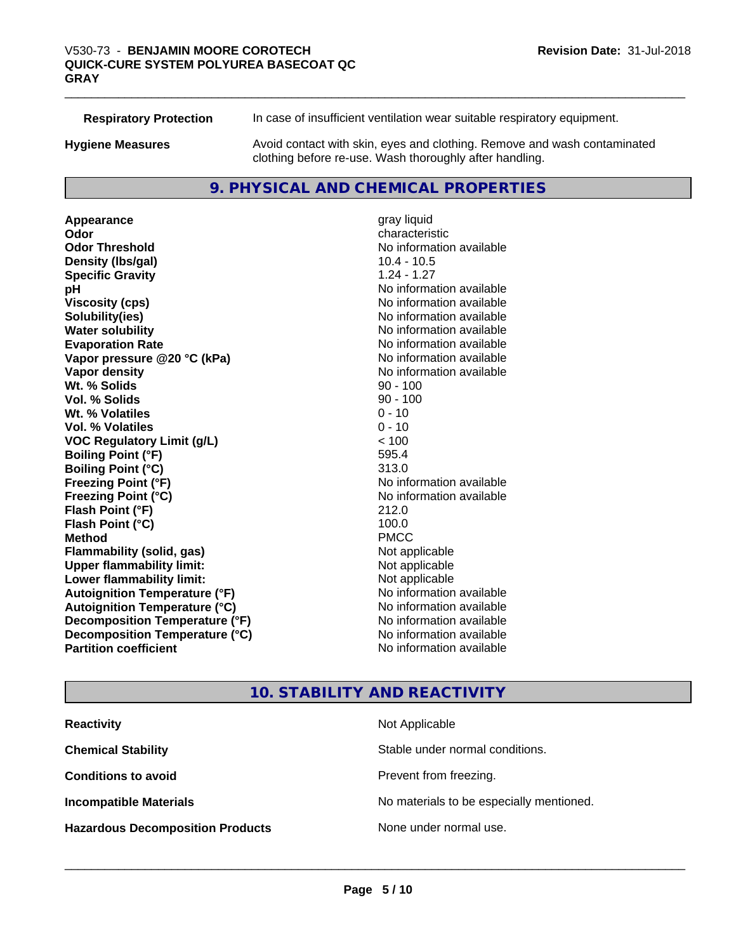**Respiratory Protection** In case of insufficient ventilation wear suitable respiratory equipment.

**Hygiene Measures** Avoid contact with skin, eyes and clothing. Remove and wash contaminated clothing before re-use. Wash thoroughly after handling.

# **9. PHYSICAL AND CHEMICAL PROPERTIES**

**Appearance** gray liquid **Odor** characteristic **Odor Threshold** No information available **Density (Ibs/gal)** 10.4 - 10.5<br> **Specific Gravity** 1.24 - 1.27 **Specific Gravity pH**  $\blacksquare$ **Viscosity (cps)** No information available **Solubility(ies)** No information available **Water solubility** No information available **Evaporation Rate Evaporation Rate No information available Vapor pressure @20 °C (kPa)** No information available **Vapor density** No information available **Wt. % Solids** 90 - 100 **Vol. % Solids Wt.** % Volatiles 0 - 10 **Vol. % Volatiles** 0 - 10 **VOC Regulatory Limit (g/L)** < 100 **Boiling Point (°F)** 595.4 **Boiling Point (°C)** 313.0 **Freezing Point (°F)** No information available **Freezing Point (°C)** No information available **Flash Point (°F)** 212.0 **Flash Point (°C)** 100.0 **Method** PMCC **Flammability (solid, gas)** Not applicable **Upper flammability limit:** Not applicable **Lower flammability limit:** Not applicable **Autoignition Temperature (°F)** No information available **Autoignition Temperature (°C)** No information available **Decomposition Temperature (°F)** No information available **Decomposition Temperature (°C)**<br> **Partition coefficient**<br> **Partition coefficient**<br> **No** information available

**No information available** 

# **10. STABILITY AND REACTIVITY**

| <b>Reactivity</b>                       | Not Applicable                           |
|-----------------------------------------|------------------------------------------|
| <b>Chemical Stability</b>               | Stable under normal conditions.          |
| <b>Conditions to avoid</b>              | Prevent from freezing.                   |
| <b>Incompatible Materials</b>           | No materials to be especially mentioned. |
| <b>Hazardous Decomposition Products</b> | None under normal use.                   |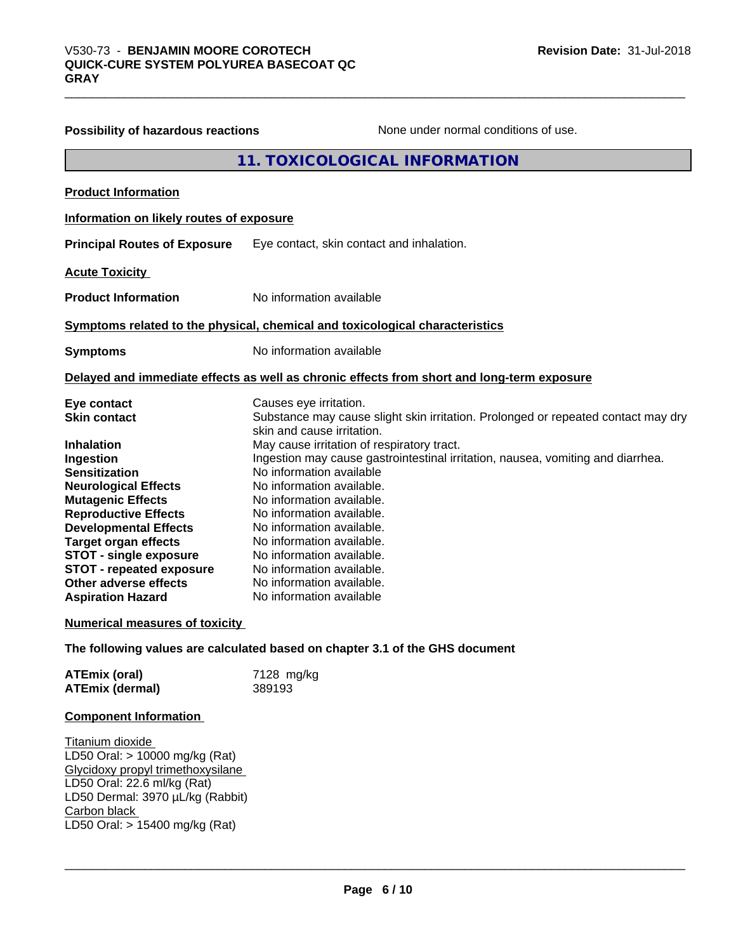| Possibility of hazardous reactions       | None under normal conditions of use.                                                                            |
|------------------------------------------|-----------------------------------------------------------------------------------------------------------------|
|                                          | 11. TOXICOLOGICAL INFORMATION                                                                                   |
| <b>Product Information</b>               |                                                                                                                 |
| Information on likely routes of exposure |                                                                                                                 |
| <b>Principal Routes of Exposure</b>      | Eye contact, skin contact and inhalation.                                                                       |
| <b>Acute Toxicity</b>                    |                                                                                                                 |
| <b>Product Information</b>               | No information available                                                                                        |
|                                          | Symptoms related to the physical, chemical and toxicological characteristics                                    |
| <b>Symptoms</b>                          | No information available                                                                                        |
|                                          | Delayed and immediate effects as well as chronic effects from short and long-term exposure                      |
| Eye contact                              | Causes eye irritation.                                                                                          |
| <b>Skin contact</b>                      | Substance may cause slight skin irritation. Prolonged or repeated contact may dry<br>skin and cause irritation. |
| <b>Inhalation</b>                        | May cause irritation of respiratory tract.                                                                      |
| Ingestion                                | Ingestion may cause gastrointestinal irritation, nausea, vomiting and diarrhea.                                 |
| <b>Sensitization</b>                     | No information available                                                                                        |
| <b>Neurological Effects</b>              | No information available.                                                                                       |
| <b>Mutagenic Effects</b>                 | No information available.                                                                                       |
| <b>Reproductive Effects</b>              | No information available.                                                                                       |
| <b>Developmental Effects</b>             | No information available.                                                                                       |
| <b>Target organ effects</b>              | No information available.                                                                                       |
| <b>STOT - single exposure</b>            | No information available.                                                                                       |
| <b>STOT - repeated exposure</b>          | No information available.                                                                                       |
| Other adverse effects                    | No information available.                                                                                       |
| <b>Aspiration Hazard</b>                 | No information available                                                                                        |
| <b>Numerical measures of toxicity</b>    |                                                                                                                 |
|                                          | The following values are calculated based on chapter 3.1 of the GHS document                                    |
| <b>ATEmix (oral)</b>                     | 7128 mg/kg                                                                                                      |

| <b>Component Information</b> |  |
|------------------------------|--|

Titanium dioxide LD50 Oral: > 10000 mg/kg (Rat) Glycidoxy propyl trimethoxysilane LD50 Oral: 22.6 ml/kg (Rat) LD50 Dermal: 3970 µL/kg (Rabbit) Carbon black \_\_\_\_\_\_\_\_\_\_\_\_\_\_\_\_\_\_\_\_\_\_\_\_\_\_\_\_\_\_\_\_\_\_\_\_\_\_\_\_\_\_\_\_\_\_\_\_\_\_\_\_\_\_\_\_\_\_\_\_\_\_\_\_\_\_\_\_\_\_\_\_\_\_\_\_\_\_\_\_\_\_\_\_\_\_\_\_\_\_\_\_\_ LD50 Oral: > 15400 mg/kg (Rat)

**ATEmix (dermal)** 389193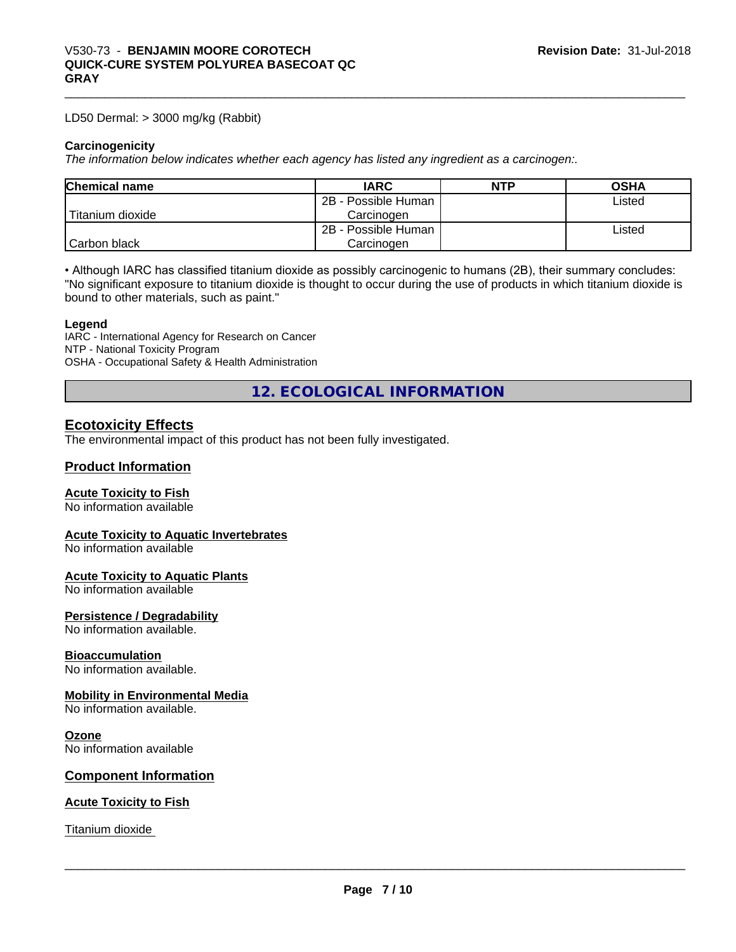LD50 Dermal: > 3000 mg/kg (Rabbit)

#### **Carcinogenicity**

*The information below indicateswhether each agency has listed any ingredient as a carcinogen:.*

| <b>Chemical name</b> | <b>IARC</b>         | NTP | <b>OSHA</b> |  |
|----------------------|---------------------|-----|-------------|--|
|                      | 2B - Possible Human |     | Listed      |  |
| Titanium dioxide     | Carcinogen          |     |             |  |
|                      | 2B - Possible Human |     | Listed      |  |
| Carbon black         | Carcinogen          |     |             |  |

• Although IARC has classified titanium dioxide as possibly carcinogenic to humans (2B), their summary concludes: "No significant exposure to titanium dioxide is thought to occur during the use of products in which titanium dioxide is bound to other materials, such as paint."

#### **Legend**

IARC - International Agency for Research on Cancer NTP - National Toxicity Program OSHA - Occupational Safety & Health Administration

**12. ECOLOGICAL INFORMATION**

# **Ecotoxicity Effects**

The environmental impact of this product has not been fully investigated.

#### **Product Information**

#### **Acute Toxicity to Fish**

No information available

# **Acute Toxicity to Aquatic Invertebrates**

No information available

#### **Acute Toxicity to Aquatic Plants**

No information available

#### **Persistence / Degradability**

No information available.

#### **Bioaccumulation**

No information available.

#### **Mobility in Environmental Media**

No information available.

#### **Ozone**

No information available

#### **Component Information**

#### **Acute Toxicity to Fish**

Titanium dioxide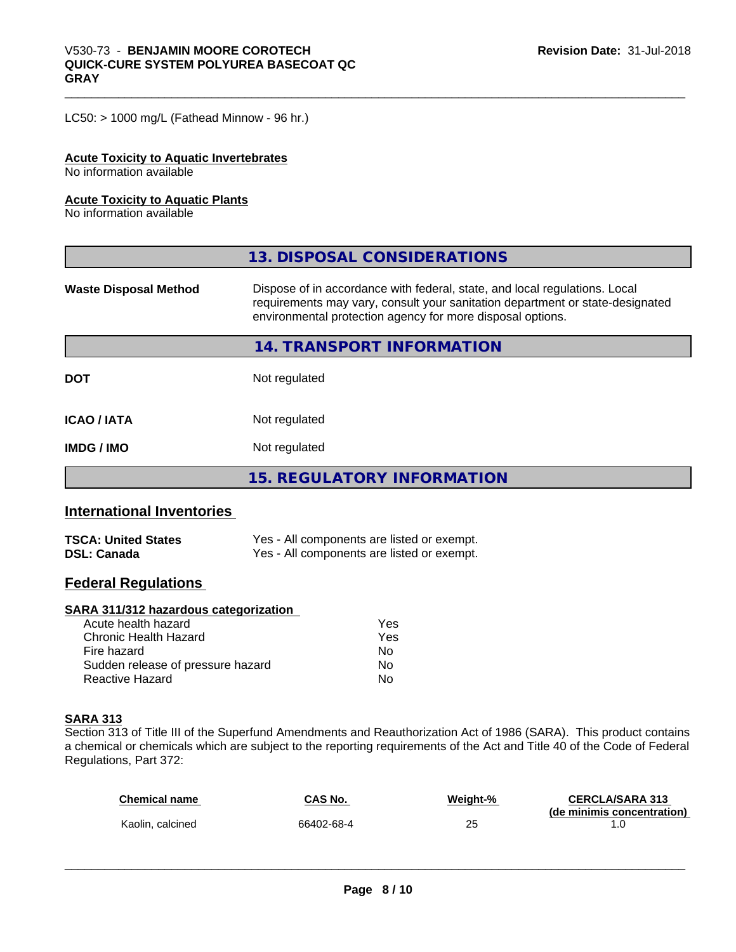LC50: > 1000 mg/L (Fathead Minnow - 96 hr.)

#### **Acute Toxicity to Aquatic Invertebrates**

No information available

#### **Acute Toxicity to Aquatic Plants**

No information available

| Dispose of in accordance with federal, state, and local regulations. Local<br><b>Waste Disposal Method</b><br>requirements may vary, consult your sanitation department or state-designated |
|---------------------------------------------------------------------------------------------------------------------------------------------------------------------------------------------|
| environmental protection agency for more disposal options.                                                                                                                                  |
| <b>14. TRANSPORT INFORMATION</b>                                                                                                                                                            |
| <b>DOT</b><br>Not regulated                                                                                                                                                                 |
| <b>ICAO / IATA</b><br>Not regulated                                                                                                                                                         |
| Not regulated<br><b>IMDG / IMO</b>                                                                                                                                                          |
| <b>15. REGULATORY INFORMATION</b>                                                                                                                                                           |

# **International Inventories**

| <b>TSCA: United States</b> | Yes - All components are listed or exempt. |
|----------------------------|--------------------------------------------|
| <b>DSL: Canada</b>         | Yes - All components are listed or exempt. |

# **Federal Regulations**

#### **SARA 311/312 hazardous categorization**

| Acute health hazard               | Yes |  |
|-----------------------------------|-----|--|
| Chronic Health Hazard             | Yes |  |
| Fire hazard                       | N٥  |  |
| Sudden release of pressure hazard | Nο  |  |
| Reactive Hazard                   | Nο  |  |

#### **SARA 313**

Section 313 of Title III of the Superfund Amendments and Reauthorization Act of 1986 (SARA). This product contains a chemical or chemicals which are subject to the reporting requirements of the Act and Title 40 of the Code of Federal Regulations, Part 372:

| <b>Chemical name</b> | CAS No.    | Weight-% | <b>CERCLA/SARA 313</b>     |
|----------------------|------------|----------|----------------------------|
| Kaolin, calcined     | 66402-68-4 | 25       | (de minimis concentration) |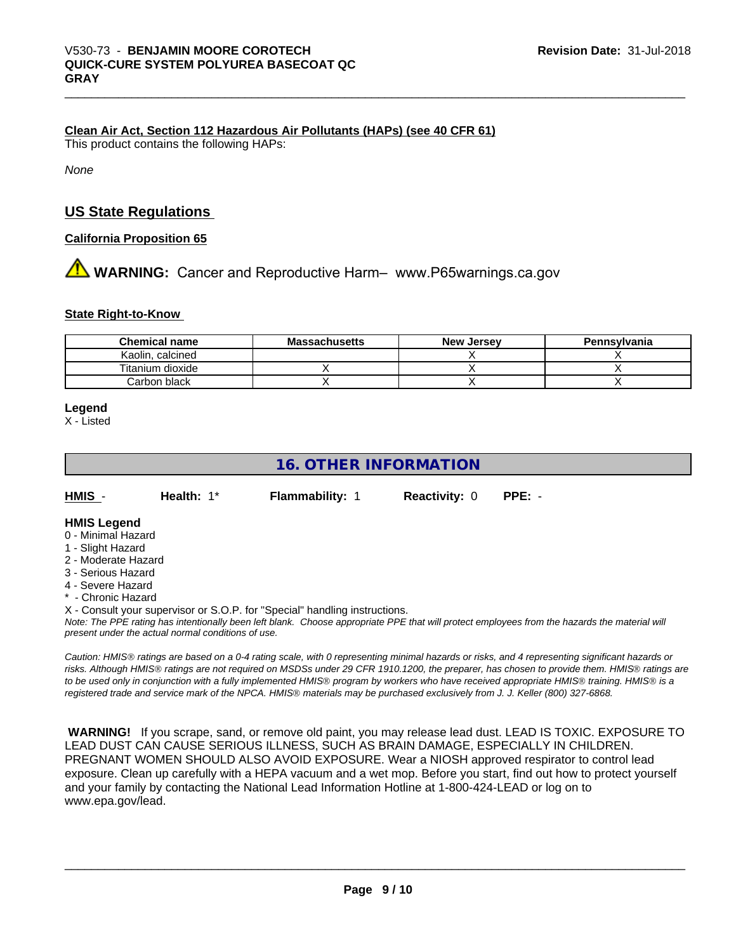#### **Clean Air Act,Section 112 Hazardous Air Pollutants (HAPs) (see 40 CFR 61)**

This product contains the following HAPs:

*None*

# **US State Regulations**

#### **California Proposition 65**

# **A** WARNING: Cancer and Reproductive Harm– www.P65warnings.ca.gov

#### **State Right-to-Know**

| <b>Chemical name</b>  | <b>Massachusetts</b> | <b>New Jersey</b> | Pennsylvania |
|-----------------------|----------------------|-------------------|--------------|
| Kaolin.<br>. calcined |                      |                   |              |
| Titanium dioxide      |                      |                   |              |
| Carbon black          |                      |                   |              |

#### **Legend**

X - Listed

# **16. OTHER INFORMATION**

| $HMIS -$ | Health: 1* | <b>Flammability: 1</b> | <b>Reactivity: 0</b> | PPE: - |
|----------|------------|------------------------|----------------------|--------|
|          |            |                        |                      |        |

#### **HMIS Legend**

- 0 Minimal Hazard
- 1 Slight Hazard
- 2 Moderate Hazard
- 3 Serious Hazard
- 4 Severe Hazard
- \* Chronic Hazard
- X Consult your supervisor or S.O.P. for "Special" handling instructions.

*Note: The PPE rating has intentionally been left blank. Choose appropriate PPE that will protect employees from the hazards the material will present under the actual normal conditions of use.*

*Caution: HMISÒ ratings are based on a 0-4 rating scale, with 0 representing minimal hazards or risks, and 4 representing significant hazards or risks. Although HMISÒ ratings are not required on MSDSs under 29 CFR 1910.1200, the preparer, has chosen to provide them. HMISÒ ratings are to be used only in conjunction with a fully implemented HMISÒ program by workers who have received appropriate HMISÒ training. HMISÒ is a registered trade and service mark of the NPCA. HMISÒ materials may be purchased exclusively from J. J. Keller (800) 327-6868.*

 **WARNING!** If you scrape, sand, or remove old paint, you may release lead dust. LEAD IS TOXIC. EXPOSURE TO LEAD DUST CAN CAUSE SERIOUS ILLNESS, SUCH AS BRAIN DAMAGE, ESPECIALLY IN CHILDREN. PREGNANT WOMEN SHOULD ALSO AVOID EXPOSURE.Wear a NIOSH approved respirator to control lead exposure. Clean up carefully with a HEPA vacuum and a wet mop. Before you start, find out how to protect yourself and your family by contacting the National Lead Information Hotline at 1-800-424-LEAD or log on to www.epa.gov/lead.